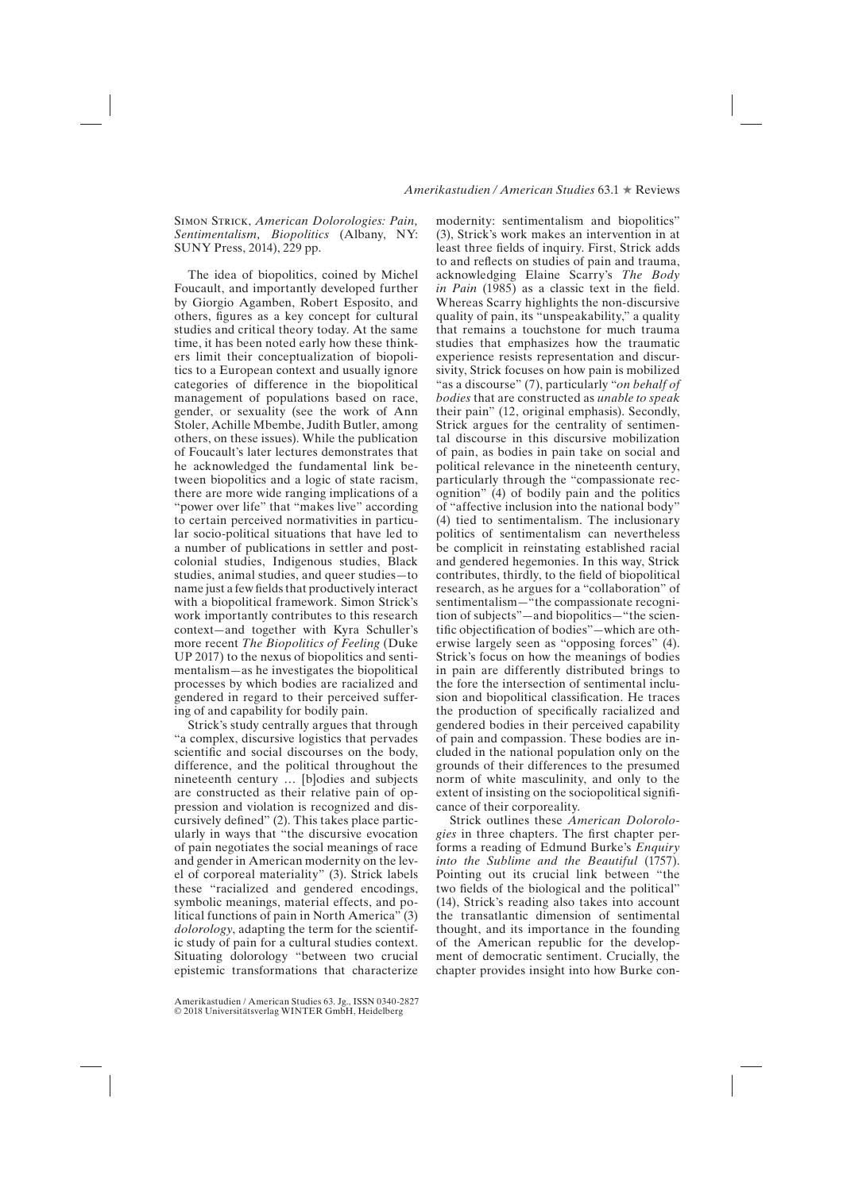## *Amerikastudien / American Studies* 63.1 ★ Reviews

Simon Strick, *American Dolorologies: Pain, Sentimentalism, Biopolitics* (Albany, NY: SUNY Press, 2014), 229 pp.

The idea of biopolitics, coined by Michel Foucault, and importantly developed further by Giorgio Agamben, Robert Esposito, and others, figures as a key concept for cultural studies and critical theory today. At the same time, it has been noted early how these thinkers limit their conceptualization of biopolitics to a European context and usually ignore categories of difference in the biopolitical management of populations based on race, gender, or sexuality (see the work of Ann Stoler, Achille Mbembe, Judith Butler, among others, on these issues). While the publication of Foucault's later lectures demonstrates that he acknowledged the fundamental link between biopolitics and a logic of state racism, there are more wide ranging implications of a "power over life" that "makes live" according to certain perceived normativities in particular socio-political situations that have led to a number of publications in settler and postcolonial studies, Indigenous studies, Black studies, animal studies, and queer studies—to name just a few fields that productively interact with a biopolitical framework. Simon Strick's work importantly contributes to this research context—and together with Kyra Schuller's more recent *The Biopolitics of Feeling* (Duke UP 2017) to the nexus of biopolitics and sentimentalism—as he investigates the biopolitical processes by which bodies are racialized and gendered in regard to their perceived suffering of and capability for bodily pain.

Strick's study centrally argues that through "a complex, discursive logistics that pervades scientific and social discourses on the body, difference, and the political throughout the nineteenth century … [b]odies and subjects are constructed as their relative pain of oppression and violation is recognized and discursively defined" (2). This takes place particularly in ways that "the discursive evocation of pain negotiates the social meanings of race and gender in American modernity on the level of corporeal materiality" (3). Strick labels these "racialized and gendered encodings, symbolic meanings, material effects, and political functions of pain in North America" (3) *dolorology*, adapting the term for the scientific study of pain for a cultural studies context. Situating dolorology "between two crucial epistemic transformations that characterize modernity: sentimentalism and biopolitics" (3), Strick's work makes an intervention in at least three fields of inquiry. First, Strick adds to and reflects on studies of pain and trauma, acknowledging Elaine Scarry's *The Body in Pain* (1985) as a classic text in the field. Whereas Scarry highlights the non-discursive quality of pain, its "unspeakability," a quality that remains a touchstone for much trauma studies that emphasizes how the traumatic experience resists representation and discursivity, Strick focuses on how pain is mobilized "as a discourse" (7), particularly "*on behalf of bodies* that are constructed as *unable to speak* their pain" (12, original emphasis). Secondly, Strick argues for the centrality of sentimental discourse in this discursive mobilization of pain, as bodies in pain take on social and political relevance in the nineteenth century, particularly through the "compassionate recognition" (4) of bodily pain and the politics of "affective inclusion into the national body" (4) tied to sentimentalism. The inclusionary politics of sentimentalism can nevertheless be complicit in reinstating established racial and gendered hegemonies. In this way, Strick contributes, thirdly, to the field of biopolitical research, as he argues for a "collaboration" of sentimentalism—"the compassionate recognition of subjects"—and biopolitics—"the scientific objectification of bodies"—which are otherwise largely seen as "opposing forces" (4). Strick's focus on how the meanings of bodies in pain are differently distributed brings to the fore the intersection of sentimental inclusion and biopolitical classification. He traces the production of specifically racialized and gendered bodies in their perceived capability of pain and compassion. These bodies are included in the national population only on the grounds of their differences to the presumed norm of white masculinity, and only to the extent of insisting on the sociopolitical significance of their corporeality.

Strick outlines these *American Dolorologies* in three chapters. The first chapter performs a reading of Edmund Burke's *Enquiry into the Sublime and the Beautiful* (1757). Pointing out its crucial link between "the two fields of the biological and the political" (14), Strick's reading also takes into account the transatlantic dimension of sentimental thought, and its importance in the founding of the American republic for the development of democratic sentiment. Crucially, the chapter provides insight into how Burke con-

Amerikastudien / American Studies 63. Jg., ISSN 0340-2827 © 2018 Universitätsverlag WINTER GmbH, Heidelberg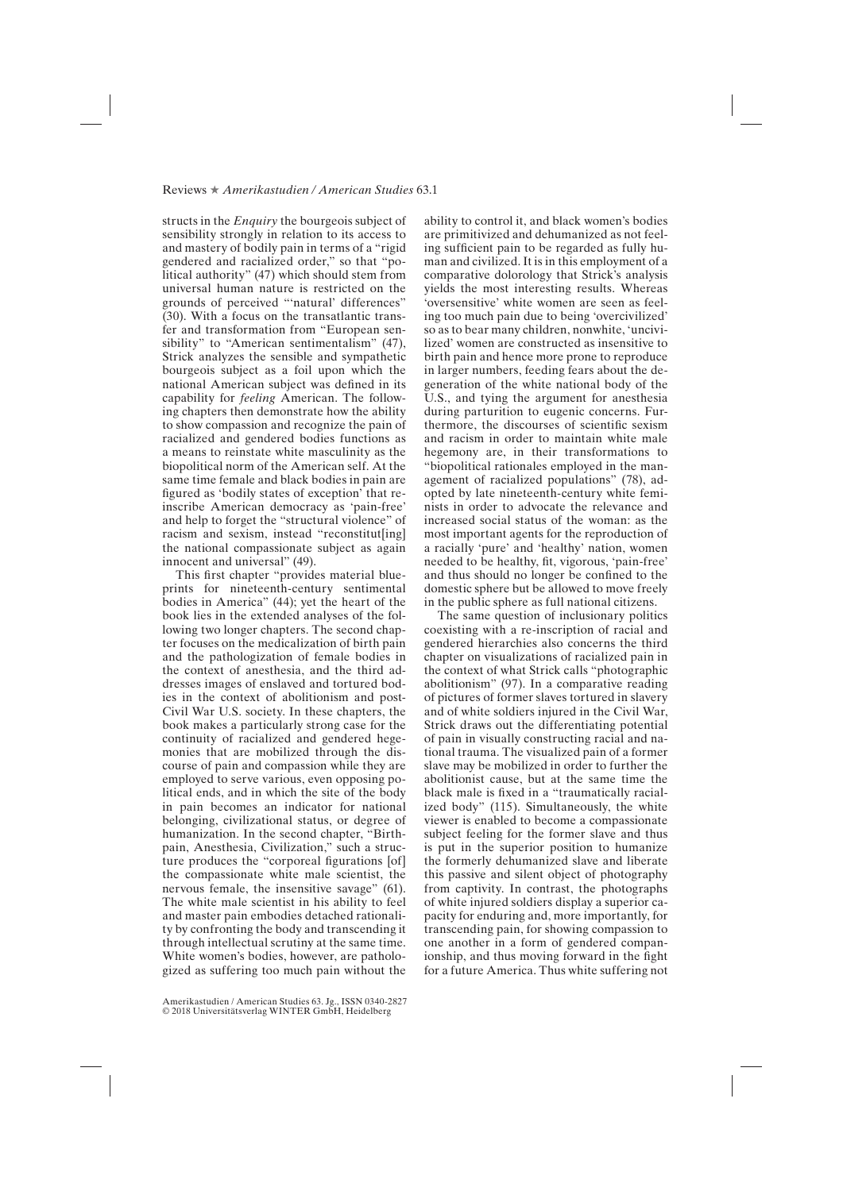## Reviews ★ *Amerikastudien / American Studies* 63.1

structs in the *Enquiry* the bourgeois subject of sensibility strongly in relation to its access to and mastery of bodily pain in terms of a "rigid gendered and racialized order," so that "political authority" (47) which should stem from universal human nature is restricted on the grounds of perceived "'natural' differences" (30). With a focus on the transatlantic transfer and transformation from "European sensibility" to "American sentimentalism" (47), Strick analyzes the sensible and sympathetic bourgeois subject as a foil upon which the national American subject was defined in its capability for *feeling* American. The following chapters then demonstrate how the ability to show compassion and recognize the pain of racialized and gendered bodies functions as a means to reinstate white masculinity as the biopolitical norm of the American self. At the same time female and black bodies in pain are figured as 'bodily states of exception' that reinscribe American democracy as 'pain-free' and help to forget the "structural violence" of racism and sexism, instead "reconstitut[ing] the national compassionate subject as again innocent and universal" (49).

This first chapter "provides material blueprints for nineteenth-century sentimental bodies in America" (44); yet the heart of the book lies in the extended analyses of the following two longer chapters. The second chapter focuses on the medicalization of birth pain and the pathologization of female bodies in the context of anesthesia, and the third addresses images of enslaved and tortured bodies in the context of abolitionism and post-Civil War U.S. society. In these chapters, the book makes a particularly strong case for the continuity of racialized and gendered hegemonies that are mobilized through the discourse of pain and compassion while they are employed to serve various, even opposing political ends, and in which the site of the body in pain becomes an indicator for national belonging, civilizational status, or degree of humanization. In the second chapter, "Birthpain, Anesthesia, Civilization," such a structure produces the "corporeal figurations [of] the compassionate white male scientist, the nervous female, the insensitive savage" (61). The white male scientist in his ability to feel and master pain embodies detached rationality by confronting the body and transcending it through intellectual scrutiny at the same time. White women's bodies, however, are pathologized as suffering too much pain without the

Amerikastudien / American Studies 63. Jg., ISSN 0340-2827 © 2018 Universitätsverlag WINTER GmbH, Heidelberg

ability to control it, and black women's bodies are primitivized and dehumanized as not feeling sufficient pain to be regarded as fully human and civilized. It is in this employment of a comparative dolorology that Strick's analysis yields the most interesting results. Whereas 'oversensitive' white women are seen as feeling too much pain due to being 'overcivilized' so as to bear many children, nonwhite, 'uncivilized' women are constructed as insensitive to birth pain and hence more prone to reproduce in larger numbers, feeding fears about the degeneration of the white national body of the U.S., and tying the argument for anesthesia during parturition to eugenic concerns. Furthermore, the discourses of scientific sexism and racism in order to maintain white male hegemony are, in their transformations to "biopolitical rationales employed in the management of racialized populations" (78), adopted by late nineteenth-century white feminists in order to advocate the relevance and increased social status of the woman: as the most important agents for the reproduction of a racially 'pure' and 'healthy' nation, women needed to be healthy, fit, vigorous, 'pain-free' and thus should no longer be confined to the domestic sphere but be allowed to move freely in the public sphere as full national citizens.

The same question of inclusionary politics coexisting with a re-inscription of racial and gendered hierarchies also concerns the third chapter on visualizations of racialized pain in the context of what Strick calls "photographic abolitionism" (97). In a comparative reading of pictures of former slaves tortured in slavery and of white soldiers injured in the Civil War, Strick draws out the differentiating potential of pain in visually constructing racial and national trauma. The visualized pain of a former slave may be mobilized in order to further the abolitionist cause, but at the same time the black male is fixed in a "traumatically racialized body" (115). Simultaneously, the white viewer is enabled to become a compassionate subject feeling for the former slave and thus is put in the superior position to humanize the formerly dehumanized slave and liberate this passive and silent object of photography from captivity. In contrast, the photographs of white injured soldiers display a superior capacity for enduring and, more importantly, for transcending pain, for showing compassion to one another in a form of gendered companionship, and thus moving forward in the fight for a future America. Thus white suffering not